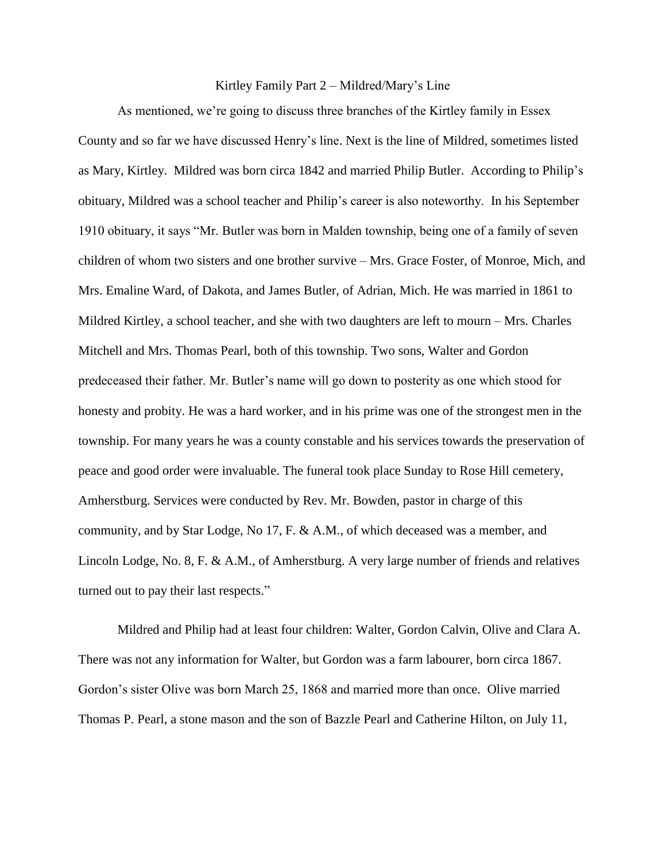## Kirtley Family Part 2 – Mildred/Mary's Line

As mentioned, we're going to discuss three branches of the Kirtley family in Essex County and so far we have discussed Henry's line. Next is the line of Mildred, sometimes listed as Mary, Kirtley. Mildred was born circa 1842 and married Philip Butler. According to Philip's obituary, Mildred was a school teacher and Philip's career is also noteworthy. In his September 1910 obituary, it says "Mr. Butler was born in Malden township, being one of a family of seven children of whom two sisters and one brother survive – Mrs. Grace Foster, of Monroe, Mich, and Mrs. Emaline Ward, of Dakota, and James Butler, of Adrian, Mich. He was married in 1861 to Mildred Kirtley, a school teacher, and she with two daughters are left to mourn – Mrs. Charles Mitchell and Mrs. Thomas Pearl, both of this township. Two sons, Walter and Gordon predeceased their father. Mr. Butler's name will go down to posterity as one which stood for honesty and probity. He was a hard worker, and in his prime was one of the strongest men in the township. For many years he was a county constable and his services towards the preservation of peace and good order were invaluable. The funeral took place Sunday to Rose Hill cemetery, Amherstburg. Services were conducted by Rev. Mr. Bowden, pastor in charge of this community, and by Star Lodge, No 17, F. & A.M., of which deceased was a member, and Lincoln Lodge, No. 8, F. & A.M., of Amherstburg. A very large number of friends and relatives turned out to pay their last respects."

Mildred and Philip had at least four children: Walter, Gordon Calvin, Olive and Clara A. There was not any information for Walter, but Gordon was a farm labourer, born circa 1867. Gordon's sister Olive was born March 25, 1868 and married more than once. Olive married Thomas P. Pearl, a stone mason and the son of Bazzle Pearl and Catherine Hilton, on July 11,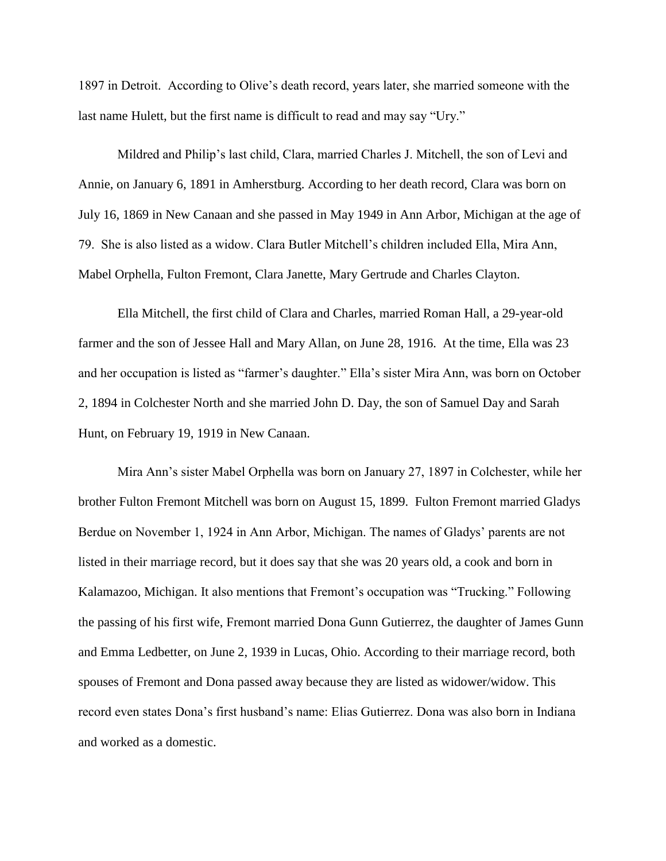1897 in Detroit. According to Olive's death record, years later, she married someone with the last name Hulett, but the first name is difficult to read and may say "Ury."

Mildred and Philip's last child, Clara, married Charles J. Mitchell, the son of Levi and Annie, on January 6, 1891 in Amherstburg. According to her death record, Clara was born on July 16, 1869 in New Canaan and she passed in May 1949 in Ann Arbor, Michigan at the age of 79. She is also listed as a widow. Clara Butler Mitchell's children included Ella, Mira Ann, Mabel Orphella, Fulton Fremont, Clara Janette, Mary Gertrude and Charles Clayton.

Ella Mitchell, the first child of Clara and Charles, married Roman Hall, a 29-year-old farmer and the son of Jessee Hall and Mary Allan, on June 28, 1916. At the time, Ella was 23 and her occupation is listed as "farmer's daughter." Ella's sister Mira Ann, was born on October 2, 1894 in Colchester North and she married John D. Day, the son of Samuel Day and Sarah Hunt, on February 19, 1919 in New Canaan.

Mira Ann's sister Mabel Orphella was born on January 27, 1897 in Colchester, while her brother Fulton Fremont Mitchell was born on August 15, 1899. Fulton Fremont married Gladys Berdue on November 1, 1924 in Ann Arbor, Michigan. The names of Gladys' parents are not listed in their marriage record, but it does say that she was 20 years old, a cook and born in Kalamazoo, Michigan. It also mentions that Fremont's occupation was "Trucking." Following the passing of his first wife, Fremont married Dona Gunn Gutierrez, the daughter of James Gunn and Emma Ledbetter, on June 2, 1939 in Lucas, Ohio. According to their marriage record, both spouses of Fremont and Dona passed away because they are listed as widower/widow. This record even states Dona's first husband's name: Elias Gutierrez. Dona was also born in Indiana and worked as a domestic.